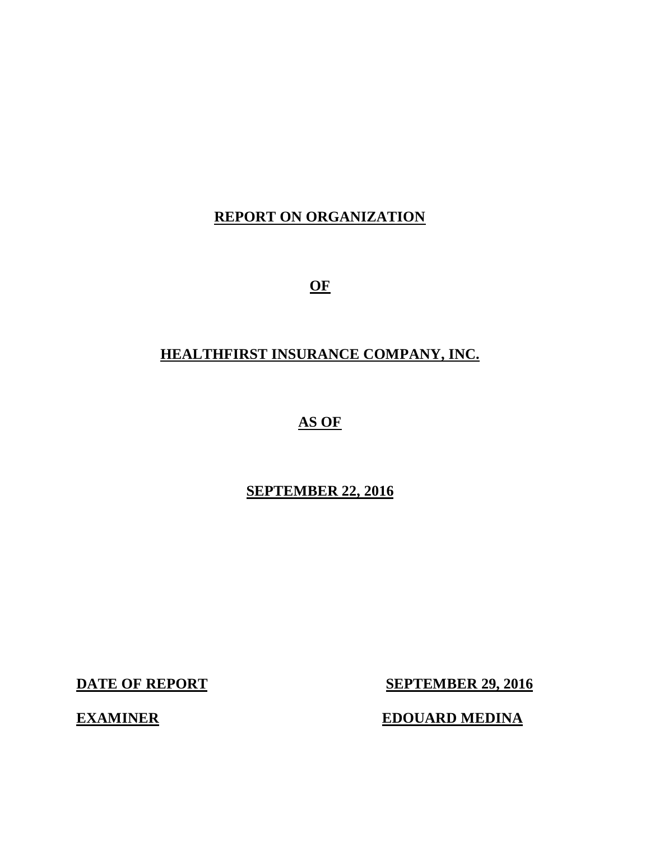# **REPORT ON ORGANIZATION**

**OF** 

# **HEALTHFIRST INSURANCE COMPANY, INC.**

# **AS OF**

# **SEPTEMBER 22, 2016**

**DATE OF REPORT** 

**SEPTEMBER 29, 2016** 

**EDOUARD MEDINA** 

**EXAMINER**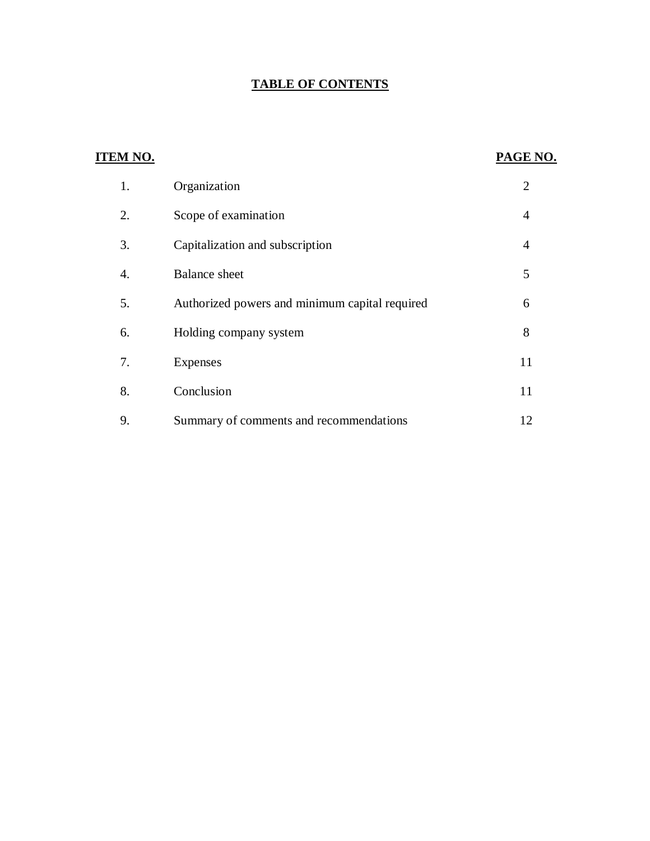#### **TABLE OF CONTENTS**

| <b>ITEM NO.</b> |                                                | PAGE NO.       |
|-----------------|------------------------------------------------|----------------|
| 1.              | Organization                                   | $\overline{2}$ |
| 2.              | Scope of examination                           | $\overline{4}$ |
| 3.              | Capitalization and subscription                | $\overline{4}$ |
| 4.              | <b>Balance</b> sheet                           | 5              |
| 5.              | Authorized powers and minimum capital required | 6              |
| 6.              | Holding company system                         | 8              |
| 7.              | <b>Expenses</b>                                | 11             |
| 8.              | Conclusion                                     | 11             |
| 9.              | Summary of comments and recommendations        | 12             |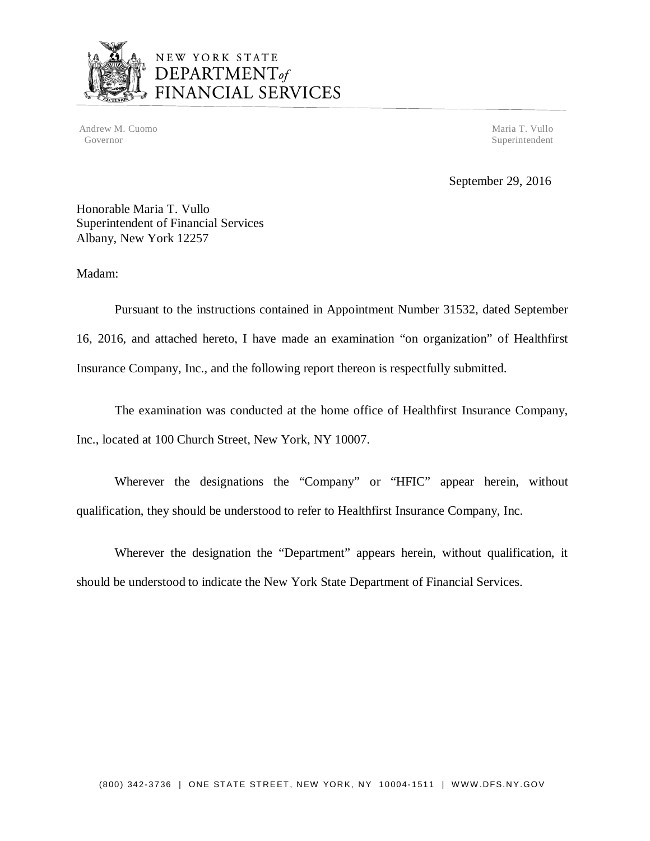

# NEW YORK STATE<br>DEPARTMENT<sub>of</sub><br>FINANCIAL SERVICES

Andrew M. Cuomo Maria T. Vullo National Andrew M. Cuomo Maria T. Vullo National Andrew M. Cuomo Maria T. Vullo Governor Superintendent Superintendent Superintendent Superintendent Superintendent Superintendent Superintendent Superintendent Superintendent Superintendent Superintendent Superintendent Superintendent Superintendent Sup

September 29, 2016

 Honorable Maria T. Vullo Superintendent of Financial Services Albany, New York 12257

Madam:

 Pursuant to the instructions contained in Appointment Number 31532, dated September 16, 2016, and attached hereto, I have made an examination "on organization" of Healthfirst Insurance Company, Inc., and the following report thereon is respectfully submitted.

 Inc., located at 100 Church Street, New York, NY 10007. The examination was conducted at the home office of Healthfirst Insurance Company,

 Wherever the designations the "Company" or "HFIC" appear herein, without qualification, they should be understood to refer to Healthfirst Insurance Company, Inc.

 Wherever the designation the "Department" appears herein, without qualification, it should be understood to indicate the New York State Department of Financial Services.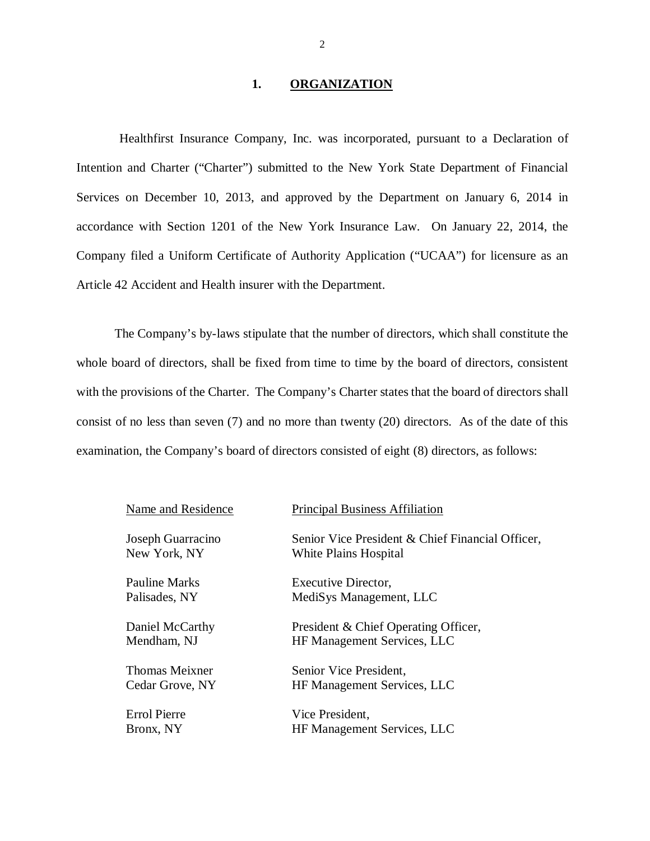#### **1. ORGANIZATION**

 Healthfirst Insurance Company, Inc. was incorporated, pursuant to a Declaration of Intention and Charter ("Charter") submitted to the New York State Department of Financial Services on December 10, 2013, and approved by the Department on January 6, 2014 in accordance with Section 1201 of the New York Insurance Law. On January 22, 2014, the Company filed a Uniform Certificate of Authority Application ("UCAA") for licensure as an Article 42 Accident and Health insurer with the Department.

 whole board of directors, shall be fixed from time to time by the board of directors, consistent with the provisions of the Charter. The Company's Charter states that the board of directors shall consist of no less than seven (7) and no more than twenty (20) directors. As of the date of this examination, the Company's board of directors consisted of eight (8) directors, as follows: The Company's by-laws stipulate that the number of directors, which shall constitute the

| Name and Residence                | <b>Principal Business Affiliation</b>                                     |
|-----------------------------------|---------------------------------------------------------------------------|
| Joseph Guarracino<br>New York, NY | Senior Vice President & Chief Financial Officer,<br>White Plains Hospital |
| Pauline Marks                     | Executive Director,                                                       |
| Palisades, NY                     | MediSys Management, LLC                                                   |
| Daniel McCarthy                   | President & Chief Operating Officer,                                      |
| Mendham, NJ                       | HF Management Services, LLC                                               |
| <b>Thomas Meixner</b>             | Senior Vice President,                                                    |
| Cedar Grove, NY                   | HF Management Services, LLC                                               |
| <b>Errol Pierre</b>               | Vice President,                                                           |
| Bronx, NY                         | HF Management Services, LLC                                               |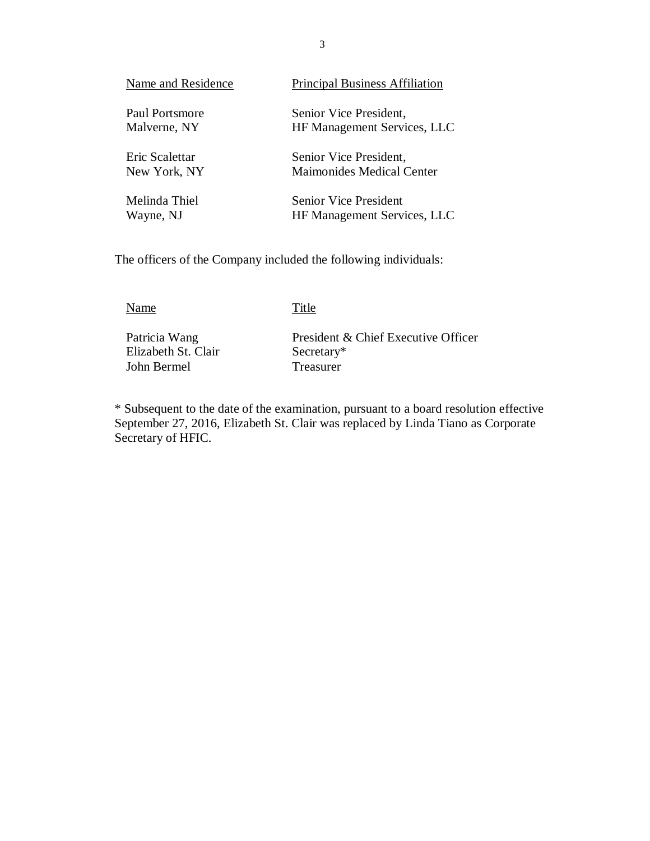| Name and Residence | <b>Principal Business Affiliation</b> |
|--------------------|---------------------------------------|
| Paul Portsmore     | Senior Vice President,                |
| Malverne, NY       | <b>HF Management Services, LLC</b>    |
| Eric Scalettar     | Senior Vice President,                |
| New York, NY       | <b>Maimonides Medical Center</b>      |
| Melinda Thiel      | Senior Vice President                 |
| Wayne, NJ          | <b>HF Management Services, LLC</b>    |

The officers of the Company included the following individuals:

Name Title

Patricia Wang Elizabeth St. Clair Secretary\* John Bermel Treasurer

President & Chief Executive Officer

 \* Subsequent to the date of the examination, pursuant to a board resolution effective September 27, 2016, Elizabeth St. Clair was replaced by Linda Tiano as Corporate Secretary of HFIC.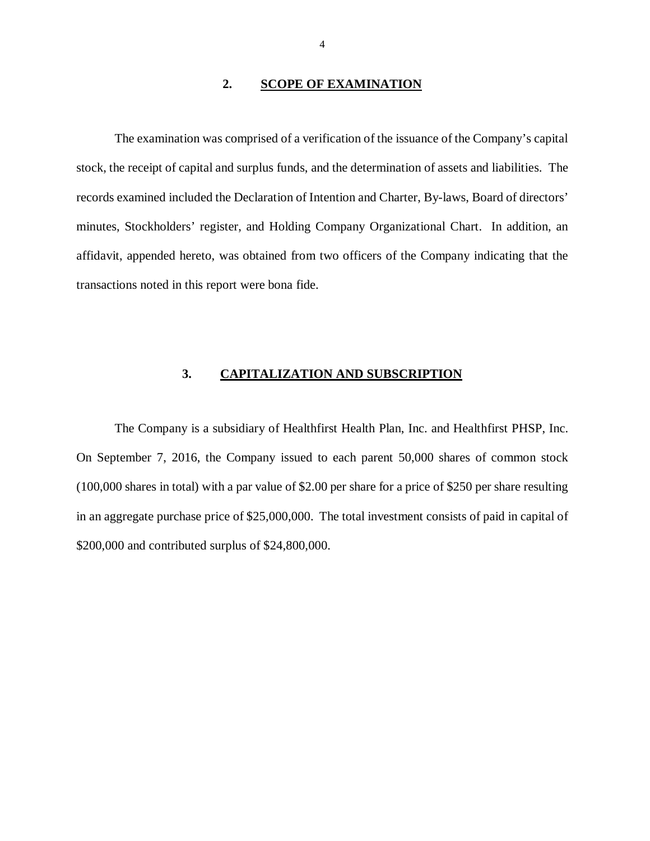#### **2. SCOPE OF EXAMINATION**

<span id="page-5-0"></span> stock, the receipt of capital and surplus funds, and the determination of assets and liabilities. The records examined included the Declaration of Intention and Charter, By-laws, Board of directors' minutes, Stockholders' register, and Holding Company Organizational Chart. In addition, an affidavit, appended hereto, was obtained from two officers of the Company indicating that the transactions noted in this report were bona fide. The examination was comprised of a verification of the issuance of the Company's capital

#### **3. CAPITALIZATION AND SUBSCRIPTION**

 On September 7, 2016, the Company issued to each parent 50,000 shares of common stock (100,000 shares in total) with a par value of \$2.00 per share for a price of \$250 per share resulting in an aggregate purchase price of \$25,000,000. The total investment consists of paid in capital of \$200,000 and contributed surplus of \$24,800,000. The Company is a subsidiary of Healthfirst Health Plan, Inc. and Healthfirst PHSP, Inc.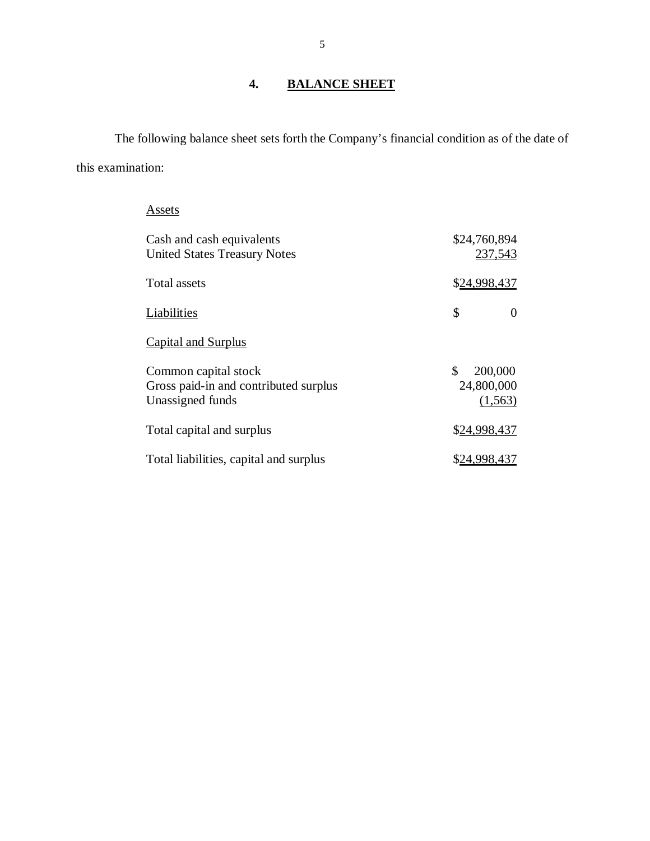# **4. BALANCE SHEET**

 The following balance sheet sets forth the Company's financial condition as of the date of this examination:

| Assets                                                                            |                                         |
|-----------------------------------------------------------------------------------|-----------------------------------------|
| Cash and cash equivalents<br><b>United States Treasury Notes</b>                  | \$24,760,894<br>237,543                 |
| Total assets                                                                      | \$24,998,437                            |
| <b>Liabilities</b>                                                                | \$<br>0                                 |
| <b>Capital and Surplus</b>                                                        |                                         |
| Common capital stock<br>Gross paid-in and contributed surplus<br>Unassigned funds | \$<br>200,000<br>24,800,000<br>(1, 563) |
| Total capital and surplus                                                         | \$24,998,437                            |
| Total liabilities, capital and surplus                                            | <u>\$24,998,437</u>                     |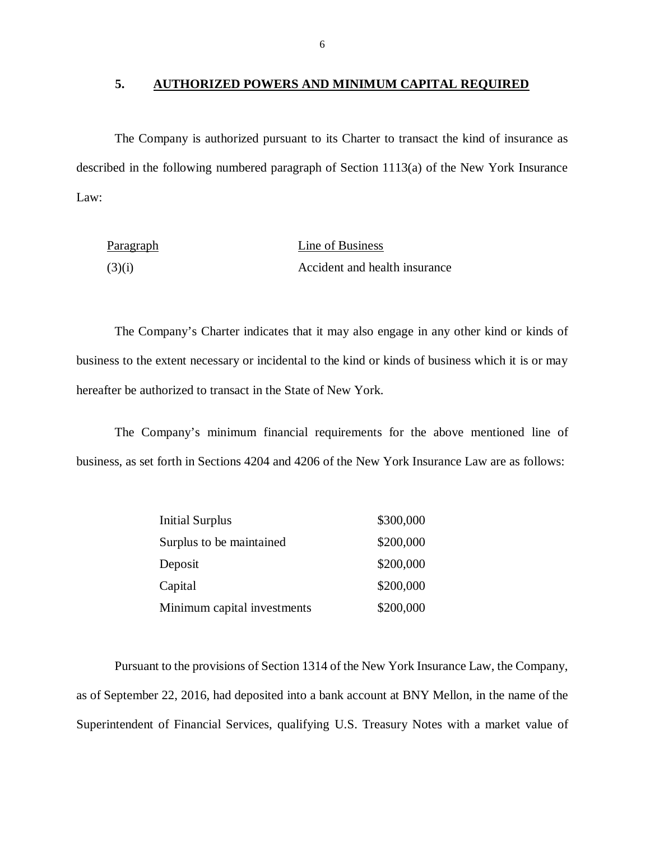#### **5. AUTHORIZED POWERS AND MINIMUM CAPITAL REQUIRED**

 The Company is authorized pursuant to its Charter to transact the kind of insurance as described in the following numbered paragraph of Section 1113(a) of the New York Insurance Law:

| <b>Paragraph</b> | Line of Business              |
|------------------|-------------------------------|
| (3)(i)           | Accident and health insurance |

 business to the extent necessary or incidental to the kind or kinds of business which it is or may hereafter be authorized to transact in the State of New York. The Company's Charter indicates that it may also engage in any other kind or kinds of

 business, as set forth in Sections 4204 and 4206 of the New York Insurance Law are as follows: The Company's minimum financial requirements for the above mentioned line of

| <b>Initial Surplus</b>      | \$300,000 |
|-----------------------------|-----------|
| Surplus to be maintained    | \$200,000 |
| Deposit                     | \$200,000 |
| Capital                     | \$200,000 |
| Minimum capital investments | \$200,000 |

 Pursuant to the provisions of Section 1314 of the New York Insurance Law, the Company, as of September 22, 2016, had deposited into a bank account at BNY Mellon, in the name of the Superintendent of Financial Services, qualifying U.S. Treasury Notes with a market value of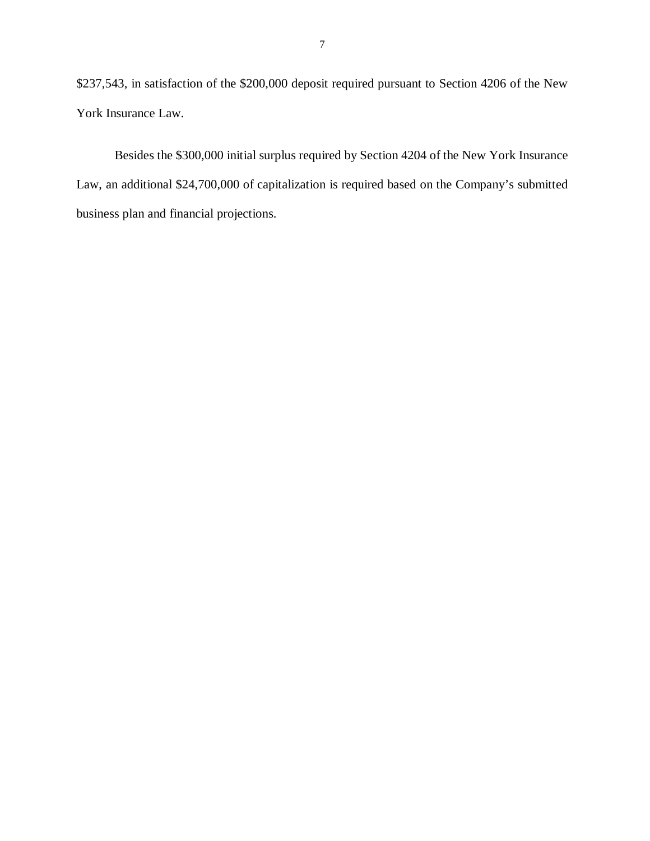\$237,543, in satisfaction of the \$200,000 deposit required pursuant to Section 4206 of the New York Insurance Law.

 Besides the \$300,000 initial surplus required by Section 4204 of the New York Insurance Law, an additional \$24,700,000 of capitalization is required based on the Company's submitted business plan and financial projections.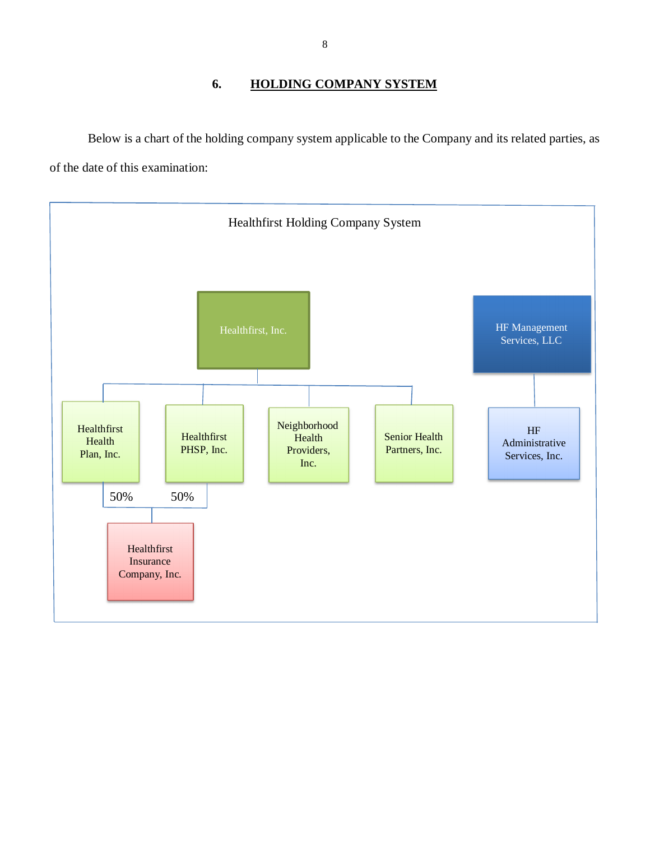### **6. HOLDING COMPANY SYSTEM**

<span id="page-9-0"></span> Below is a chart of the holding company system applicable to the Company and its related parties, as of the date of this examination:

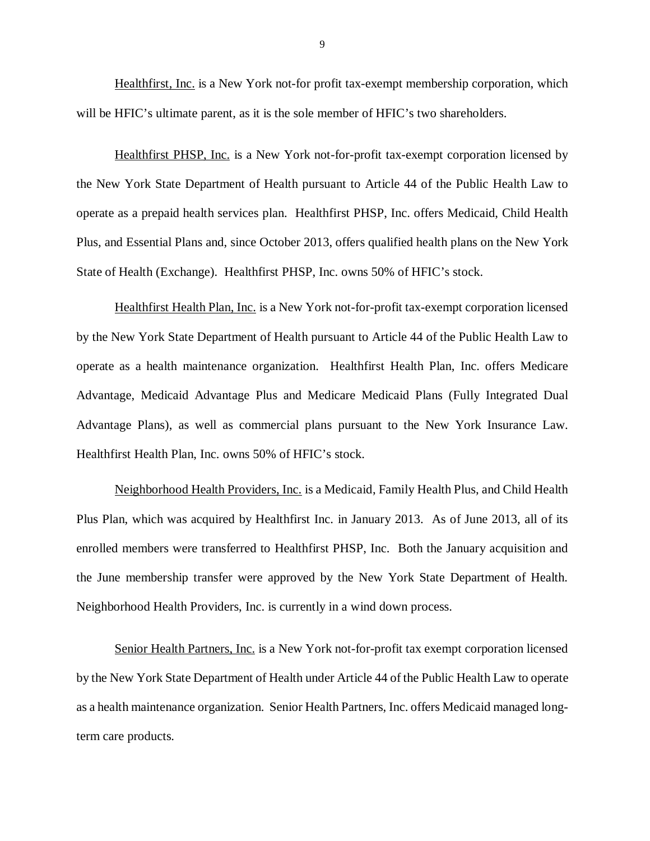Healthfirst, Inc. is a New York not-for profit tax-exempt membership corporation, which will be HFIC's ultimate parent, as it is the sole member of HFIC's two shareholders.

Healthfirst PHSP, Inc. is a New York not-for-profit tax-exempt corporation licensed by the New York State Department of Health pursuant to Article 44 of the Public Health Law to operate as a prepaid health services plan. Healthfirst PHSP, Inc. offers Medicaid, Child Health Plus, and Essential Plans and, since October 2013, offers qualified health plans on the New York State of Health (Exchange). Healthfirst PHSP, Inc. owns 50% of HFIC's stock.

Healthfirst Health Plan, Inc. is a New York not-for-profit tax-exempt corporation licensed by the New York State Department of Health pursuant to Article 44 of the Public Health Law to operate as a health maintenance organization. Healthfirst Health Plan, Inc. offers Medicare Advantage, Medicaid Advantage Plus and Medicare Medicaid Plans (Fully Integrated Dual Advantage Plans), as well as commercial plans pursuant to the New York Insurance Law. Healthfirst Health Plan, Inc. owns 50% of HFIC's stock.

 Neighborhood Health Providers, Inc. is a Medicaid, Family Health Plus, and Child Health Plus Plan, which was acquired by Healthfirst Inc. in January 2013. As of June 2013, all of its enrolled members were transferred to Healthfirst PHSP, Inc. Both the January acquisition and the June membership transfer were approved by the New York State Department of Health. Neighborhood Health Providers, Inc. is currently in a wind down process.

Senior Health Partners, Inc. is a New York not-for-profit tax exempt corporation licensed by the New York State Department of Health under Article 44 of the Public Health Law to operate as a health maintenance organization. Senior Health Partners, Inc. offers Medicaid managed long-term care products.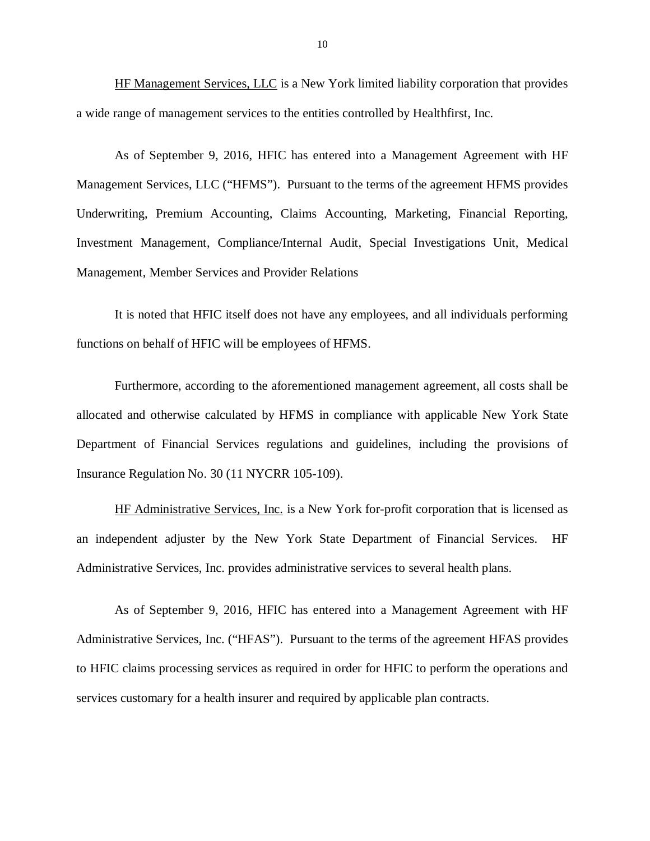HF Management Services, LLC is a New York limited liability corporation that provides a wide range of management services to the entities controlled by Healthfirst, Inc.

 Management Services, LLC ("HFMS"). Pursuant to the terms of the agreement HFMS provides Underwriting, Premium Accounting, Claims Accounting, Marketing, Financial Reporting, Investment Management, Compliance/Internal Audit, Special Investigations Unit, Medical Management, Member Services and Provider Relations As of September 9, 2016, HFIC has entered into a Management Agreement with HF

 functions on behalf of HFIC will be employees of HFMS. It is noted that HFIC itself does not have any employees, and all individuals performing

 Furthermore, according to the aforementioned management agreement, all costs shall be allocated and otherwise calculated by HFMS in compliance with applicable New York State Department of Financial Services regulations and guidelines, including the provisions of Insurance Regulation No. 30 (11 NYCRR 105-109).

HF Administrative Services, Inc. is a New York for-profit corporation that is licensed as an independent adjuster by the New York State Department of Financial Services. HF Administrative Services, Inc. provides administrative services to several health plans.

 As of September 9, 2016, HFIC has entered into a Management Agreement with HF Administrative Services, Inc. ("HFAS"). Pursuant to the terms of the agreement HFAS provides to HFIC claims processing services as required in order for HFIC to perform the operations and services customary for a health insurer and required by applicable plan contracts.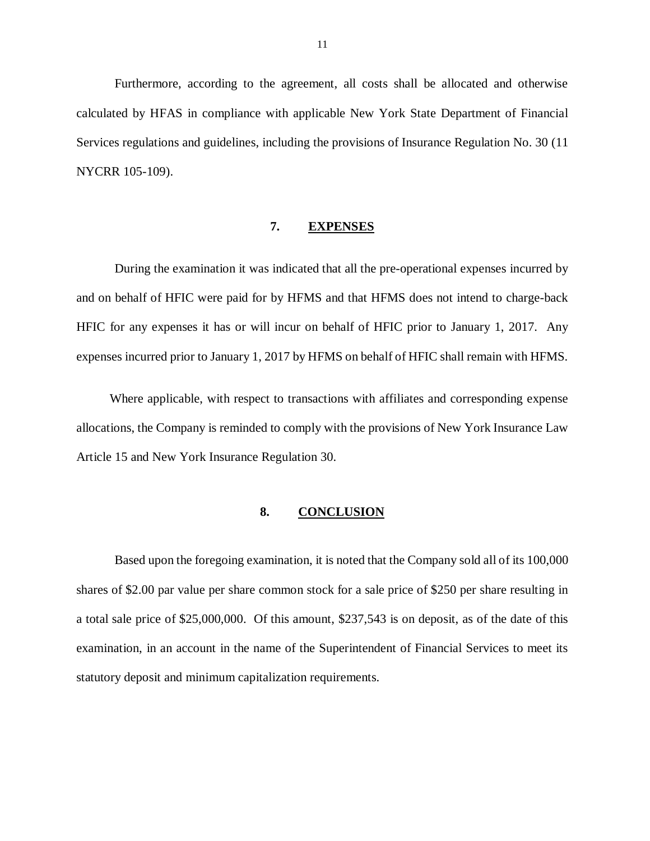<span id="page-12-0"></span> Furthermore, according to the agreement, all costs shall be allocated and otherwise calculated by HFAS in compliance with applicable New York State Department of Financial Services regulations and guidelines, including the provisions of Insurance Regulation No. 30 (11 NYCRR 105-109).

#### **7. EXPENSES**

 During the examination it was indicated that all the pre-operational expenses incurred by and on behalf of HFIC were paid for by HFMS and that HFMS does not intend to charge-back HFIC for any expenses it has or will incur on behalf of HFIC prior to January 1, 2017. Any expenses incurred prior to January 1, 2017 by HFMS on behalf of HFIC shall remain with HFMS.

 Where applicable, with respect to transactions with affiliates and corresponding expense allocations, the Company is reminded to comply with the provisions of New York Insurance Law Article 15 and New York Insurance Regulation 30.

#### **8. CONCLUSION**

 Based upon the foregoing examination, it is noted that the Company sold all of its 100,000 shares of \$2.00 par value per share common stock for a sale price of \$250 per share resulting in a total sale price of \$25,000,000. Of this amount, \$237,543 is on deposit, as of the date of this examination, in an account in the name of the Superintendent of Financial Services to meet its statutory deposit and minimum capitalization requirements.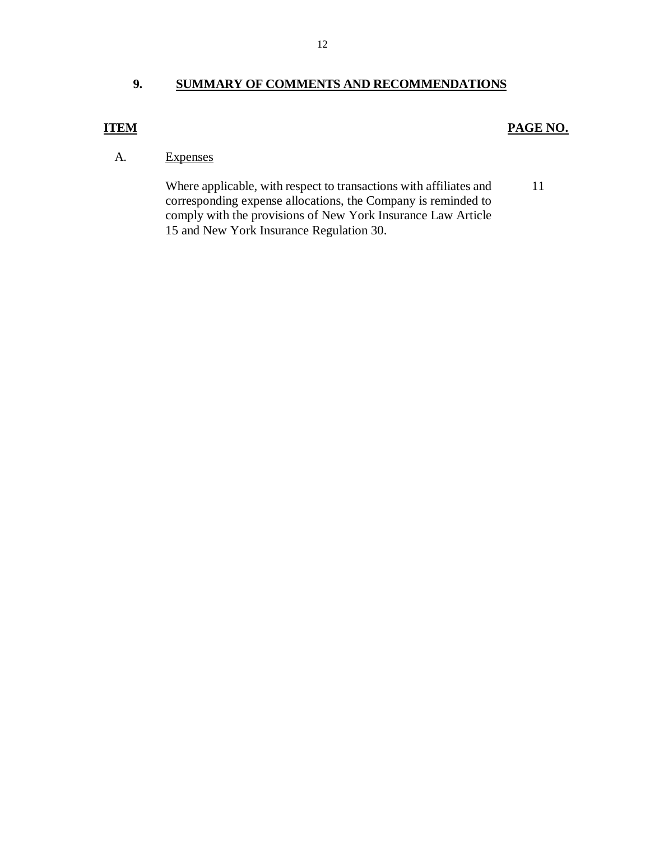#### <span id="page-13-0"></span> **9. SUMMARY OF COMMENTS AND RECOMMENDATIONS**

#### *PAGE NO. PAGE NO.*

#### **Expenses**

 corresponding expense allocations, the Company is reminded to comply with the provisions of New York Insurance Law Article 15 and New York Insurance Regulation 30. A. Expenses<br>Where applicable, with respect to transactions with affiliates and 11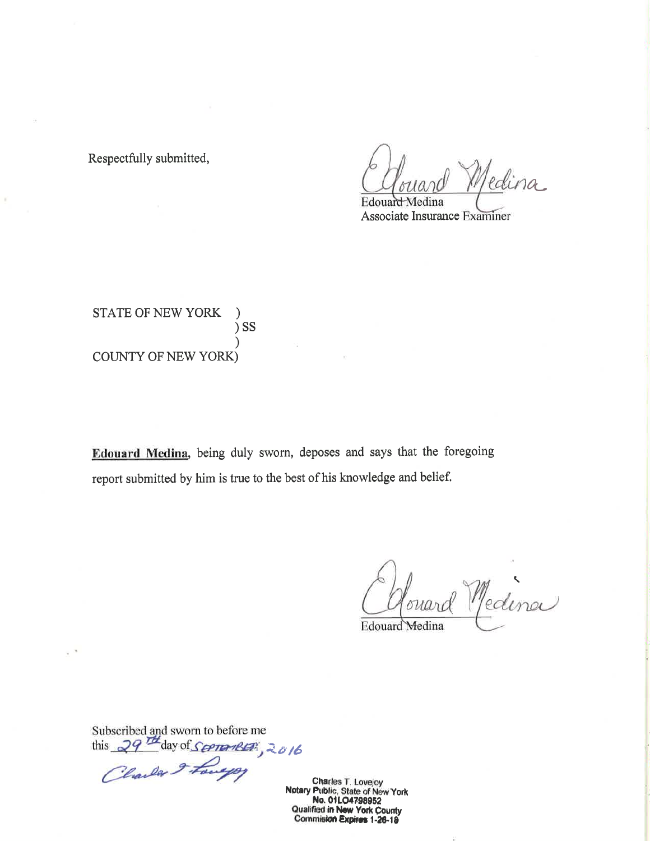Respectfully submitted,

 $\mathbb{R}$ 

edina Edouard Medina

Associate Insurance Examiner

STATE OF NEW YORK  $)$  SS **COUNTY OF NEW YORK)** 

Edouard Medina, being duly sworn, deposes and says that the foregoing report submitted by him is true to the best of his knowledge and belief.

buard Medina

Edouard Medina

Subscribed and sworn to before me<br>this 29<sup>74</sup> day of Seeman BEP:<br>Clauder 2 Fourted

Charles T. Lovejoy Notary Public, State of New York No. 01LO4798952<br>Qualified in New York County **Commision Expires 1-26-18**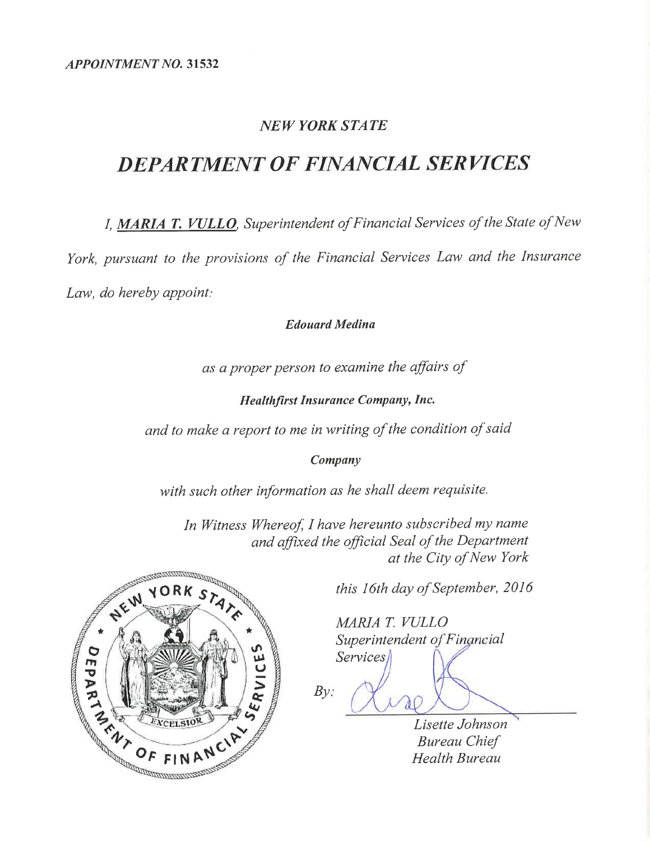## **NEW YORK STATE**

# **DEPARTMENT OF FINANCIAL SERVICES**

I, MARIA T. VULLO, Superintendent of Financial Services of the State of New

York, pursuant to the provisions of the Financial Services Law and the Insurance

Law, do hereby appoint:

#### **Edouard Medina**

as a proper person to examine the affairs of

**Healthfirst Insurance Company, Inc.** 

and to make a report to me in writing of the condition of said

#### Company

with such other information as he shall deem requisite.

In Witness Whereof, I have hereunto subscribed my name and affixed the official Seal of the Department at the City of New York



this 16th day of September, 2016

MARIA T. VULLO Superintendent of Fingneial **Services** 

 $By:$ 

Lisette Johnson **Bureau Chief Health Bureau**